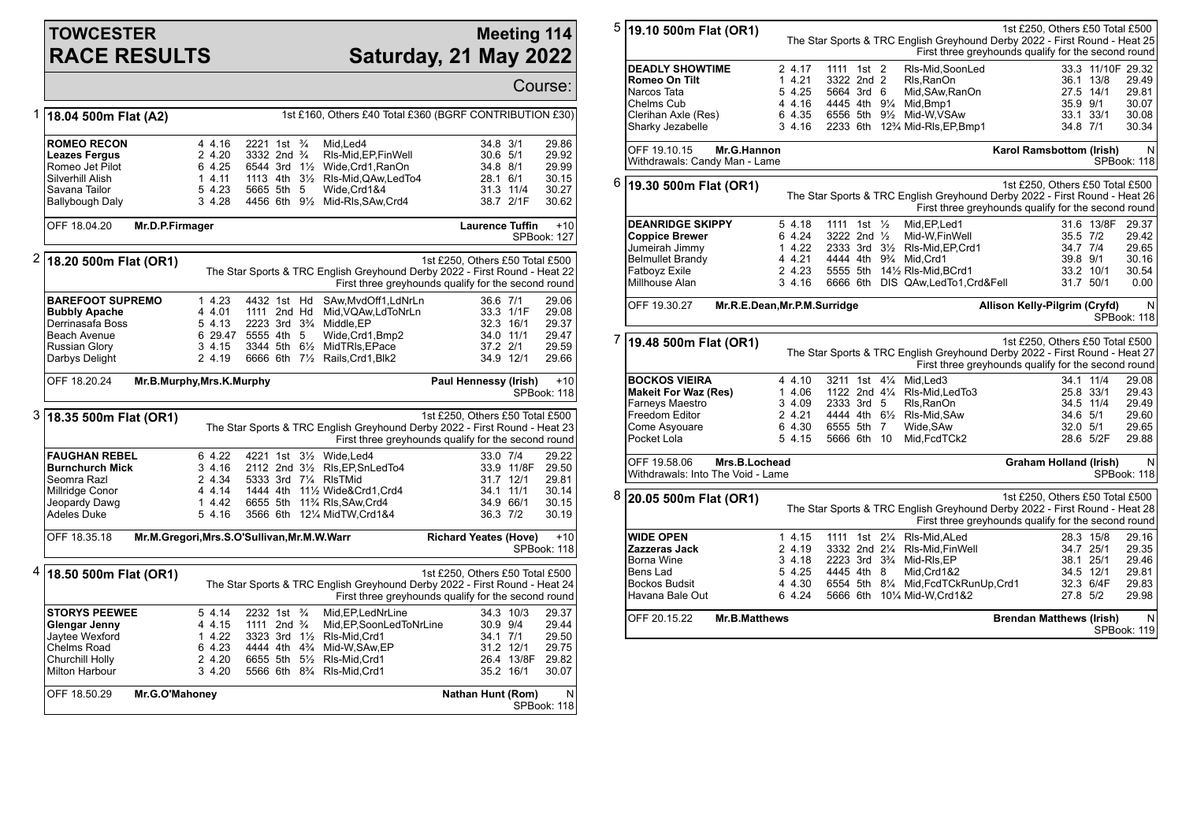## **TOWCESTER RACE RESULTS**

## **Meeting 114 Saturday, 21 May 2022**

|   |                                                                                                                        |                                                           |                                                                               |               |                                                                                                                                                                                                                          |                                              |                                                   | Course:                                            |  |
|---|------------------------------------------------------------------------------------------------------------------------|-----------------------------------------------------------|-------------------------------------------------------------------------------|---------------|--------------------------------------------------------------------------------------------------------------------------------------------------------------------------------------------------------------------------|----------------------------------------------|---------------------------------------------------|----------------------------------------------------|--|
| 1 | 1st £160, Others £40 Total £360 (BGRF CONTRIBUTION £30)<br>18.04 500m Flat (A2)                                        |                                                           |                                                                               |               |                                                                                                                                                                                                                          |                                              |                                                   |                                                    |  |
|   | <b>ROMEO RECON</b><br><b>Leazes Fergus</b><br>Romeo Jet Pilot<br>Silverhill Alish<br>Savana Tailor<br>Ballybough Daly  | 4 4.16<br>2 4.20<br>6 4.25<br>1, 4.11<br>5 4.23<br>3 4.28 | 2221 1st<br>3332 2nd <sup>3</sup> / <sub>4</sub><br>6544 3rd 1½<br>5665 5th 5 | $\frac{3}{4}$ | Mid, Led4<br>RIs-Mid, EP, Fin Well<br>Wide, Crd1, RanOn<br>1113 4th 31/ <sub>2</sub> RIs-Mid, QAw, Led To 4<br>Wide.Crd1&4<br>4456 6th 91/2 Mid-RIs, SAw, Crd4                                                           | 34.8 3/1<br>30.6 5/1<br>34.8 8/1<br>28.1 6/1 | 31.3 11/4<br>38.7 2/1F                            | 29.86<br>29.92<br>29.99<br>30.15<br>30.27<br>30.62 |  |
|   | OFF 18.04.20<br>Mr.D.P.Firmager                                                                                        |                                                           |                                                                               |               |                                                                                                                                                                                                                          | <b>Laurence Tuffin</b>                       |                                                   | $+10$<br><b>SPBook: 127</b>                        |  |
|   | $2 18.20500$ m Flat (OR1)                                                                                              |                                                           |                                                                               |               | The Star Sports & TRC English Greyhound Derby 2022 - First Round - Heat 22<br>First three greyhounds qualify for the second round                                                                                        | 1st £250, Others £50 Total £500              |                                                   |                                                    |  |
|   | <b>BAREFOOT SUPREMO</b><br><b>Bubbly Apache</b><br>Derrinasafa Boss<br>Beach Avenue<br>Russian Glory<br>Darbys Delight | 14.23<br>4 4.01<br>5 4.13<br>3 4.15<br>2 4.19             | 4432 1st Hd<br>1111 2nd Hd<br>6 29.47 5555 4th 5                              |               | SAw,MvdOff1,LdNrLn<br>Mid, VQAw, LdToNrLn<br>2223 3rd 3 <sup>3</sup> / <sub>4</sub> Middle.EP<br>Wide, Crd1, Bmp2<br>3344 5th 61/2 MidTRIs, EPace<br>6666 6th 71/2 Rails, Crd1, Blk2                                     | 36.6 7/1<br>37.2 2/1                         | 33.3 1/1F<br>32.3 16/1<br>34.0 11/1<br>34.9 12/1  | 29.06<br>29.08<br>29.37<br>29.47<br>29.59<br>29.66 |  |
|   | OFF 18.20.24<br>Mr.B.Murphy, Mrs.K.Murphy                                                                              |                                                           |                                                                               |               |                                                                                                                                                                                                                          | Paul Hennessy (Irish)                        |                                                   | $+10$<br>SPBook: 118                               |  |
| 3 | 18.35 500m Flat (OR1)                                                                                                  |                                                           |                                                                               |               | The Star Sports & TRC English Greyhound Derby 2022 - First Round - Heat 23<br>First three greyhounds qualify for the second round                                                                                        | 1st £250, Others £50 Total £500              |                                                   |                                                    |  |
|   | <b>FAUGHAN REBEL</b><br><b>Burnchurch Mick</b><br>Seomra Razl<br>Millridge Conor<br>Jeopardy Dawg<br>Adeles Duke       | 6 4.22<br>3, 4.16<br>2 4.34<br>4 4.14<br>1 4.42<br>5 4.16 | 5333 3rd 71/4 RIsTMid                                                         |               | 4221 1st 31/ <sub>2</sub> Wide.Led4<br>2112 2nd 31/2 RIs, EP, SnLed To 4<br>1444 4th 111/2 Wide&Crd1.Crd4<br>6655 5th 11% RIs, SAw, Crd4<br>3566 6th 121/4 MidTW, Crd1&4                                                 | 33.0 7/4<br>36.3 7/2                         | 33.9 11/8F<br>31.7 12/1<br>34.1 11/1<br>34.9 66/1 | 29.22<br>29.50<br>29.81<br>30.14<br>30.15<br>30.19 |  |
|   | OFF 18.35.18<br>Mr.M.Gregori, Mrs.S.O'Sullivan, Mr.M.W.Warr                                                            |                                                           |                                                                               |               |                                                                                                                                                                                                                          | <b>Richard Yeates (Hove)</b>                 |                                                   | $+10$<br>SPBook: 118                               |  |
| 4 | 18.50 500m Flat (OR1)                                                                                                  |                                                           |                                                                               |               | The Star Sports & TRC English Greyhound Derby 2022 - First Round - Heat 24<br>First three greyhounds qualify for the second round                                                                                        | 1st £250, Others £50 Total £500              |                                                   |                                                    |  |
|   | <b>STORYS PEEWEE</b><br>Glengar Jenny<br>Jaytee Wexford<br>Chelms Road<br>Churchill Holly<br><b>Milton Harbour</b>     | 5, 4.14<br>4 4.15<br>14.22<br>6 4.23<br>2 4.20<br>3 4.20  | 2232 1st <sup>3</sup> /4<br>1111 2nd <sup>3</sup> / <sub>4</sub>              |               | Mid.EP.LedNrLine<br>Mid, EP, SoonLedToNrLine<br>3323 3rd 11/2 RIs-Mid.Crd1<br>4444 4th 4 <sup>3</sup> / <sub>4</sub> Mid-W.SAw.EP<br>6655 5th 51/2 RIs-Mid, Crd1<br>5566 6th 8 <sup>3</sup> / <sub>4</sub> RIs-Mid, Crd1 | 30.9 9/4<br>34.1 7/1                         | 34.3 10/3<br>31.2 12/1<br>26.4 13/8F<br>35.2 16/1 | 29.37<br>29.44<br>29.50<br>29.75<br>29.82<br>30.07 |  |
|   | OFF 18.50.29<br>Mr.G.O'Mahoney                                                                                         |                                                           |                                                                               |               |                                                                                                                                                                                                                          | Nathan Hunt (Rom)                            |                                                   | N<br>SPBook: 118                                   |  |

| 5 | 19.10 500m Flat (OR1)                                                                                                                   | 1st £250, Others £50 Total £500<br>The Star Sports & TRC English Greyhound Derby 2022 - First Round - Heat 25<br>First three greyhounds qualify for the second round |                                                      |  |  |                                                                                                                                                                                                            |                                                                                                                                                                      |                                                                                  |                                                         |
|---|-----------------------------------------------------------------------------------------------------------------------------------------|----------------------------------------------------------------------------------------------------------------------------------------------------------------------|------------------------------------------------------|--|--|------------------------------------------------------------------------------------------------------------------------------------------------------------------------------------------------------------|----------------------------------------------------------------------------------------------------------------------------------------------------------------------|----------------------------------------------------------------------------------|---------------------------------------------------------|
|   | <b>DEADLY SHOWTIME</b><br>Romeo On Tilt<br>Narcos Tata<br>Chelms Cub<br>Clerihan Axle (Res)<br>Sharky Jezabelle                         | 2 4.17<br>1 4.21<br>5 4.25<br>4 4.16<br>6 4.35<br>34.16                                                                                                              | 1111 1st 2<br>3322 2nd 2<br>5664 3rd 6               |  |  | RIs-Mid, SoonLed<br>Rls, RanOn<br>Mid, SAw, RanOn<br>4445 4th 91/4 Mid, Bmp1<br>6556 5th 91/2 Mid-W.VSAw<br>2233 6th 12% Mid-RIs, EP, Bmp1                                                                 |                                                                                                                                                                      | 33.3 11/10F 29.32<br>36.1 13/8<br>27.5 14/1<br>35.9 9/1<br>33.1 33/1<br>34.8 7/1 | 29.49<br>29.81<br>30.07<br>30.08<br>30.34               |
|   | OFF 19.10.15<br>Mr.G.Hannon<br>Withdrawals: Candy Man - Lame                                                                            |                                                                                                                                                                      |                                                      |  |  |                                                                                                                                                                                                            | Karol Ramsbottom (Irish)                                                                                                                                             |                                                                                  | N<br>SPBook: 118                                        |
| 6 | 19.30 500m Flat (OR1)                                                                                                                   |                                                                                                                                                                      |                                                      |  |  |                                                                                                                                                                                                            | 1st £250, Others £50 Total £500<br>The Star Sports & TRC English Greyhound Derby 2022 - First Round - Heat 26<br>First three greyhounds qualify for the second round |                                                                                  |                                                         |
|   | <b>DEANRIDGE SKIPPY</b><br><b>Coppice Brewer</b><br>Jumeirah Jimmy<br><b>Belmullet Brandy</b><br>Fatboyz Exile<br>Millhouse Alan        | 5 4.18<br>6 4.24<br>1 4.22<br>4 4.21<br>2 4.23<br>3,4.16                                                                                                             | 1111 1st 1/ <sub>2</sub><br>$3222$ 2nd $\frac{1}{2}$ |  |  | Mid, EP, Led1<br>Mid-W, Fin Well<br>2333 3rd 31/2 RIs-Mid, EP, Crd1<br>4444 4th 93/4 Mid, Crd1<br>5555 5th 141/2 RIs-Mid, BCrd1<br>6666 6th DIS QAw, Led To 1, Crd& Fell                                   |                                                                                                                                                                      | 31.6 13/8F<br>35.5 7/2<br>34.7 7/4<br>39.8 9/1<br>33.2 10/1<br>31.7 50/1         | 29.37<br>29.42<br>29.65<br>30.16<br>30.54<br>0.00       |
|   | OFF 19.30.27<br>Mr.R.E.Dean, Mr.P.M.Surridge                                                                                            |                                                                                                                                                                      |                                                      |  |  |                                                                                                                                                                                                            | Allison Kelly-Pilgrim (Cryfd)                                                                                                                                        |                                                                                  | N<br>SPBook: 118                                        |
| 7 | 19.48 500m Flat (OR1)                                                                                                                   |                                                                                                                                                                      |                                                      |  |  |                                                                                                                                                                                                            | 1st £250, Others £50 Total £500<br>The Star Sports & TRC English Greyhound Derby 2022 - First Round - Heat 27<br>First three greyhounds qualify for the second round |                                                                                  |                                                         |
|   | <b>BOCKOS VIEIRA</b>                                                                                                                    |                                                                                                                                                                      |                                                      |  |  |                                                                                                                                                                                                            |                                                                                                                                                                      |                                                                                  |                                                         |
|   | <b>Makeit For Waz (Res)</b><br>Farneys Maestro<br>Freedom Editor<br>Come Asyouare<br>Pocket Lola                                        | 4 4.10<br>1 4.06<br>3 4.09<br>2 4.21<br>6 4.30<br>5 4.15                                                                                                             | 2333 3rd 5<br>6555 5th 7<br>5666 6th 10              |  |  | 3211 1st 41/4 Mid. Led 3<br>1122 2nd 41/4 RIs-Mid, Led To 3<br>Rls, RanOn<br>4444 4th 61/2 RIs-Mid, SAw<br>Wide, SAw<br>Mid, FcdTCk2                                                                       |                                                                                                                                                                      | 34.1 11/4<br>25.8 33/1<br>34.5 11/4<br>34.6 5/1<br>32.0 5/1<br>28.6 5/2F         | 29.08<br>29.43<br>29.49<br>29.60<br>29.65<br>29.88      |
|   | OFF 19.58.06<br>Mrs.B.Lochead<br>Withdrawals: Into The Void - Lame                                                                      |                                                                                                                                                                      |                                                      |  |  |                                                                                                                                                                                                            | <b>Graham Holland (Irish)</b>                                                                                                                                        |                                                                                  | N<br>SPBook: 118                                        |
| 8 | 20.05 500m Flat (OR1)                                                                                                                   |                                                                                                                                                                      |                                                      |  |  |                                                                                                                                                                                                            | 1st £250, Others £50 Total £500<br>The Star Sports & TRC English Greyhound Derby 2022 - First Round - Heat 28<br>First three greyhounds qualify for the second round |                                                                                  |                                                         |
|   | <b>WIDE OPEN</b><br>Zazzeras Jack<br>Borna Wine<br>Bens Lad<br><b>Bockos Budsit</b><br>Havana Bale Out<br>OFF 20.15.22<br>Mr.B.Matthews | 1 4.15<br>2 4.19<br>34.18<br>5 4.25<br>4 4.30<br>6 4.24                                                                                                              | 4445 4th 8                                           |  |  | 1111 1st 21/4 RIs-Mid, ALed<br>3332 2nd 21/4 RIs-Mid, Fin Well<br>2223 3rd 3 <sup>3</sup> / <sub>4</sub> Mid-RIs.EP<br>Mid, Crd1&2<br>6554 5th 81/4 Mid, FcdTCkRunUp, Crd1<br>5666 6th 101/4 Mid-W, Crd1&2 | <b>Brendan Matthews (Irish)</b>                                                                                                                                      | 28.3 15/8<br>34.7 25/1<br>38.1 25/1<br>34.5 12/1<br>32.3 6/4F<br>27.8 5/2        | 29.16<br>29.35<br>29.46<br>29.81<br>29.83<br>29.98<br>N |